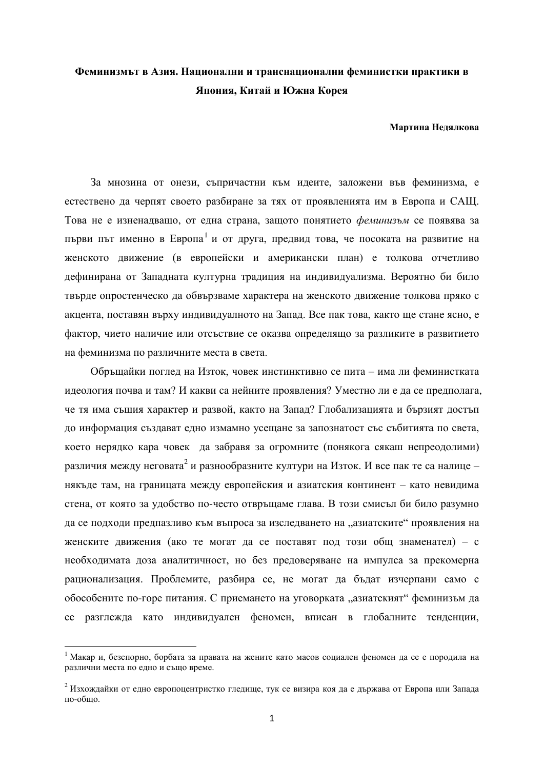# Феминизмът в Азия. Национални и транснационални феминистки практики в **Япония, Китай и Южна Корея**

#### Мартина Нелялкова

За мнозина от онези, съпричастни към идеите, заложени във феминизма, е естествено да черпят своето разбиране за тях от проявленията им в Европа и САЩ. Това не е изненадващо, от една страна, защото понятието *феминизъм* се появява за първи път именно в Европа<sup>1</sup> и от друга, предвид това, че посоката на развитие на женското движение (в европейски и американски план) е толкова отчетливо дефинирана от Западната културна традиция на индивидуализма. Вероятно би било твърде опростенческо да обвързваме характера на женското движение толкова пряко с акцента, поставян върху индивидуалното на Запад. Все пак това, както ще стане ясно, е фактор, чието наличие или отсъствие се оказва определящо за разликите в развитието на феминизма по различните места в света.

Обръщайки поглед на Изток, човек инстинктивно се пита – има ли феминистката идеология почва и там? И какви са нейните проявления? Уместно ли е да се предполага, че тя има същия характер и развой, както на Запад? Глобализацията и бързият достъп до информация създават едно измамно усещане за запознатост със събитията по света, което нерядко кара човек да забравя за огромните (понякога сякаш непреодолими) различия между неговата<sup>2</sup> и разнообразните култури на Изток. И все пак те са налице – някъде там, на границата между европейския и азиатския континент – като невидима стена, от която за удобство по-често отвръщаме глава. В този смисъл би било разумно да се подходи предпазливо към въпроса за изследването на "азиатските" проявления на женските движения (ако те могат да се поставят под този общ знаменател) – с необходимата доза аналитичност, но без предоверяване на импулса за прекомерна рационализация. Проблемите, разбира се, не могат да бъдат изчерпани само с обособените по-горе питания. С приемането на уговорката "азиатският" феминизъм да се разглежда като индивидуален феномен, вписан в глобалните тенденции,

 $1$  Макар и, безспорно, борбата за правата на жените като масов социален феномен да се е породила на различни места по едно и също време.

<sup>&</sup>lt;sup>2</sup> Изхождайки от едно европоцентристко гледище, тук се визира коя да е държава от Европа или Запада  $\overline{10}$ - $\overline{0}$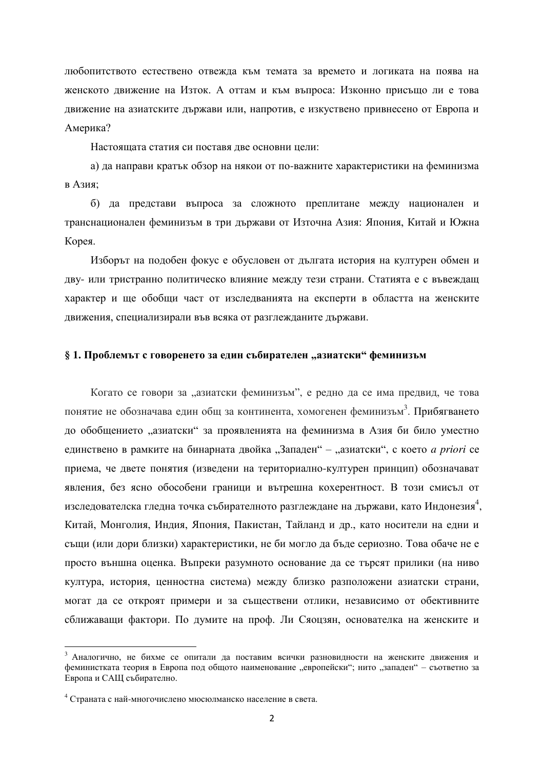любопитството естествено отвежда към темата за времето и логиката на поява на женското движение на Изток. А оттам и към въпроса: Изконно присъщо ли е това движение на азиатските държави или, напротив, е изкуствено привнесено от Европа и Америка?

Настояшата статия си поставя лве основни цели:

а) да направи кратък обзор на някои от по-важните характеристики на феминизма в Азия:

б) да представи въпроса за сложното преплитане между национален и транснационален феминизъм в три държави от Източна Азия: Япония, Китай и Южна Корея.

Изборът на подобен фокус е обусловен от дългата история на културен обмен и дву- или тристранно политическо влияние между тези страни. Статията е с въвеждащ характер и ше обобщи част от изслелванията на експерти в областта на женските движения, специализирали във всяка от разглежданите държави.

# $§ 1.$  Проблемът с говоренето за един събирателен "азиатски" феминизъм

Когато се говори за "азиатски феминизъм", е редно да се има предвид, че това понятие не обозначава един общ за континента, хомогенен феминизъм<sup>3</sup>. Прибягването до обобщението "азиатски" за проявленията на феминизма в Азия би било уместно единствено в рамките на бинарната двойка "Западен" – "азиатски", с което *a priori* се приема, че двете понятия (изведени на териториално-културен принцип) обозначават явления, без ясно обособени граници и вътрешна кохерентност. В този смисъл от изследователска гледна точка събирателното разглеждане на държави, като Индонезия<sup>4</sup>, Китай, Монголия, Индия, Япония, Пакистан, Тайланд и др., като носители на едни и същи (или дори близки) характеристики, не би могло да бъде сериозно. Това обаче не е просто външна оценка. Въпреки разумното основание да се търсят прилики (на ниво култура, история, ценностна система) между близко разположени азиатски страни, могат да се откроят примери и за съществени отлики, независимо от обективните сближаващи фактори. По думите на проф. Ли Сяоцзян, основателка на женските и

 $3$  Аналогично, не бихме се опитали да поставим всички разновидности на женските движения и феминистката теория в Европа под общото наименование "европейски"; нито "западен" – съответно за Европа и САЩ събирателно.

 $4$  Страната с най-многочислено мюсюлманско население в света.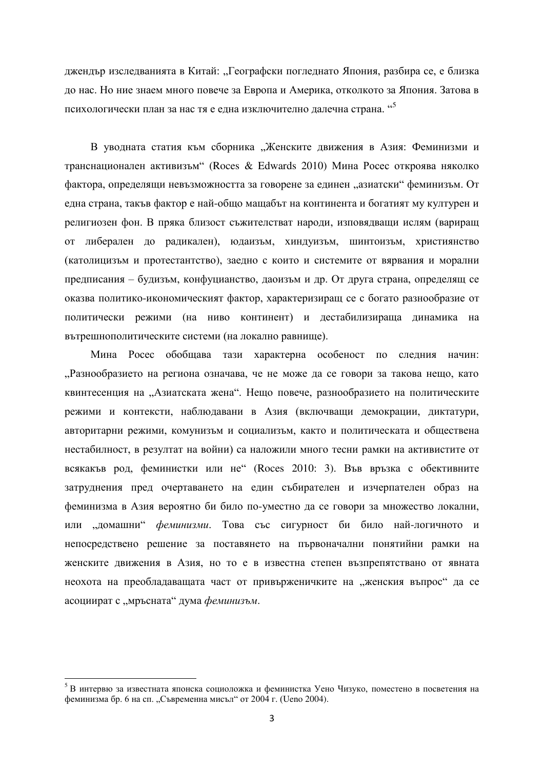джендър изследванията в Китай: "Географски погледнато Япония, разбира се, е близка до нас. Но ние знаем много повече за Европа и Америка, отколкото за Япония. Затова в психологически план за нас тя е една изключително далечна страна. "<sup>5</sup>

В уводната статия към сборника "Женските движения в Азия: Феминизми и транснационален активизъм" (Roces & Edwards 2010) Мина Росес откроява няколко фактора, определящи невъзможността за говорене за единен "азиатски" феминизъм. От една страна, такъв фактор е най-общо мащабът на континента и богатият му културен и религиозен фон. В пряка близост съжителстват народи, изповядващи ислям (вариращ от либерален до радикален), юдаизъм, хиндуизъм, шинтоизъм, християнство (католицизъм и протестантство), заедно с които и системите от вярвания и морални предписания – будизъм, конфуцианство, даоизъм и др. От друга страна, определящ се оказва политико-икономическият фактор, характеризиращ се с богато разнообразие от политически режими (на ниво континент) и дестабилизираща динамика на вътрешнополитическите системи (на локално равнище).

Мина Росес обобщава тази характерна особеност по следния начин: "Разнообразието на региона означава, че не може да се говори за такова нещо, като квинтесенция на "Азиатската жена". Нещо повече, разнообразието на политическите режими и контексти, наблюдавани в Азия (включващи демокрации, диктатури, авторитарни режими, комунизъм и социализъм, както и политическата и обществена нестабилност, в резултат на войни) са наложили много тесни рамки на активистите от всякакъв род, феминистки или не" (Roces 2010: 3). Във връзка с обективните затруднения пред очертаването на един събирателен и изчерпателен образ на феминизма в Азия вероятно би било по-уместно да се говори за множество локални, или "домашни" *феминизми*. Това със сигурност би било най-логичното и непосредствено решение за поставянето на първоначални понятийни рамки на женските движения в Азия, но то е в известна степен възпрепятствано от явната неохота на преобладаващата част от привърженичките на "женския въпрос" да се асоциират с "мръсната" дума феминизъм.

<sup>&</sup>lt;sup>5</sup> В интервю за известната японска социоложка и феминистка Уено Чизуко, поместено в посветения на  $\phi$ еминизма бр. 6 на сп. "Съвременна мисъл" от 2004 г. (Ueno 2004).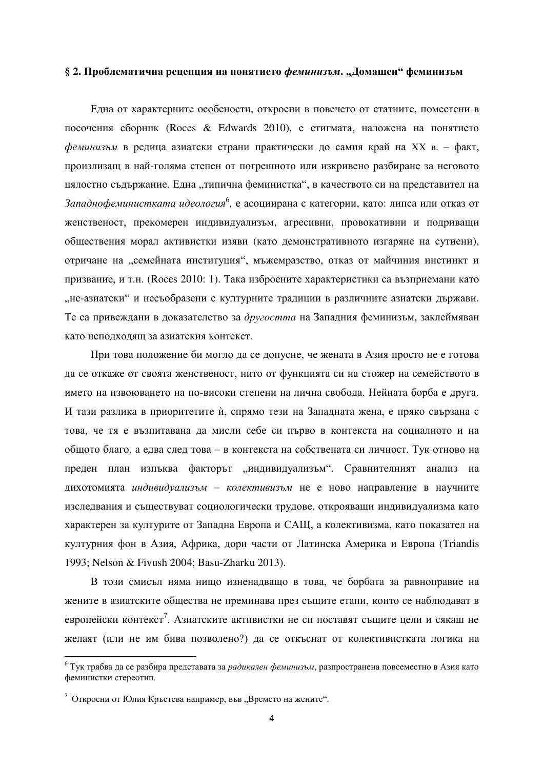## § 2. Проблематична рецепция на понятието феминизъм. "Домашен" феминизъм

Една от характерните особености, откроени в повечето от статиите, поместени в посочения сборник (Roces & Edwards 2010), е стигмата, наложена на понятието феминизъм в редица азиатски страни практически до самия край на XX в. – факт, произлизащ в най-голяма степен от погрешното или изкривено разбиране за неговото цялостно съдържание. Една "типична феминистка", в качеството си на представител на Западнофеминистката идеология<sup>6</sup>, е асоциирана с категории, като: липса или отказ от женственост, прекомерен индивидуализъм, агресивни, провокативни и подриващи обществения морал активистки изяви (като демонстративното изгаряне на сутиени), отричане на "семейната институция", мъжемразство, отказ от майчиния инстинкт и призвание, и т.н. (Roces 2010: 1). Така изброените характеристики са възприемани като "не-азиатски" и несъобразени с културните традиции в различните азиатски държави. Те са привеждани в доказателство за другостта на Западния феминизъм, заклеймяван като неподходящ за азиатския контекст.

При това положение би могло да се допусне, че жената в Азия просто не е готова да се откаже от своята женственост, нито от функцията си на стожер на семейството в името на извоюването на по-високи степени на лична свобода. Нейната борба е друга. И тази разлика в приоритетите ѝ, спрямо тези на Западната жена, е пряко свързана с това, че тя е възпитавана да мисли себе си първо в контекста на социалното и на общото благо, а едва след това – в контекста на собствената си личност. Тук отново на преден план изпъква факторът "индивидуализъм". Сравнителният анализ на дихотомията *индивидуализъм – колективизъм* не е ново направление в научните изследвания и съществуват социологически трудове, открояващи индивидуализма като характерен за културите от Западна Европа и САЩ, а колективизма, като показател на културния фон в Азия, Африка, дори части от Латинска Америка и Европа (Triandis 1993; Nelson & Fivush 2004; Basu-Zharku 2013).

В този смисъл няма нищо изненадващо в това, че борбата за равноправие на жените в азиатските общества не преминава през същите етапи, които се наблюдават в европейски контекст<sup>7</sup>. Азиатските активистки не си поставят същите цели и сякаш не желаят (или не им бива позволено?) да се откъснат от колективистката логика на

<sup>&</sup>lt;sup>6</sup> Тук трябва да се разбира представата за *радикален феминизъм*, разпространена повсеместно в Азия като феминистки стереотип.

<sup>&</sup>lt;sup>7</sup> Откроени от Юлия Кръстева например, във "Времето на жените".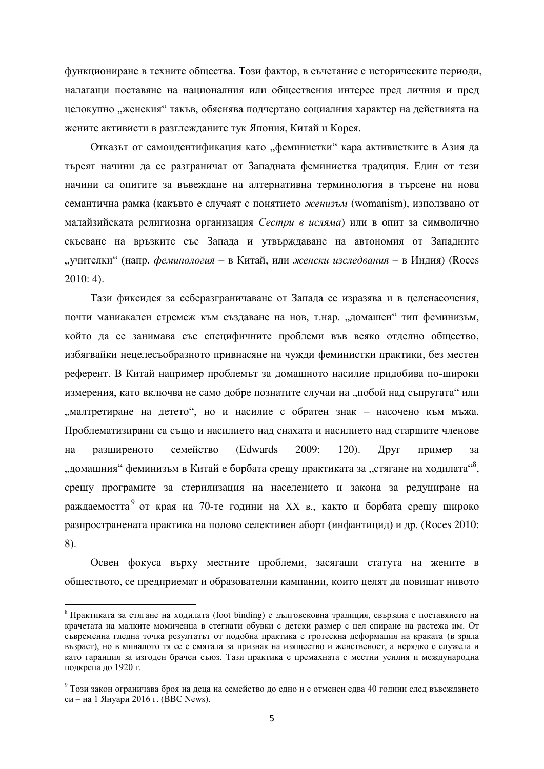функциониране в техните общества. Този фактор, в съчетание с историческите периоди, налагащи поставяне на националния или обществения интерес пред личния и пред целокупно "женския" такъв, обяснява подчертано социалния характер на действията на жените активисти в разглежданите тук Япония, Китай и Корея.

Отказът от самоидентификация като "феминистки" кара активистките в Азия да тьрсят начини да се разграничат от Западната феминистка традиция. Един от тези начини са опитите за въвеждане на алтернативна терминология в търсене на нова семантична рамка (какъвто е случаят с понятието женизъм (womanism), използвано от малайзийската религиозна организация Сестри в исляма) или в опит за символично скъсване на връзките със Запада и утвърждаване на автономия от Западните "учителки" (напр. *феминология* – в Китай, или женски изследвания – в Индия) (Roces 2010: 4).

Тази фиксилея за себеразграничаване от Запала се изразява и в целенасочения. почти маниакален стремеж към създаване на нов, т.нар. "домашен" тип феминизъм, който да се занимава със специфичните проблеми във всяко отделно общество, избягвайки нецелесьобразното привнасяне на чужди феминистки практики, без местен референт. В Китай например проблемът за домашното насилие придобива по-широки измерения, като включва не само добре познатите случаи на "побой над съпругата" или "малтретиране на детето", но и насилие с обратен знак – насочено към мъжа. Проблематизирани са също и насилието над снахата и насилието над старшите членове на разширеното семейство (Edwards 2009: 120). Друг пример за "домашния" феминизъм в Китай е борбата срещу практиката за "стягане на ходилата"<sup>8</sup>, срещу програмите за стерилизация на населението и закона за редуциране на раждаемостта<sup>9</sup> от края на 70-те години на XX в., както и борбата срещу широко разпространената практика на полово селективен аборт (инфантицид) и др. (Roces 2010: 8).

Освен фокуса върху местните проблеми, засягащи статута на жените в обществото, се предприемат и образователни кампании, които целят да повишат нивото

 $8$  Практиката за стягане на ходилата (foot binding) е дълговековна традиция, свързана с поставянето на крачетата на малките момиченца в стегнати обувки с детски размер с цел спиране на растежа им. От съвременна гледна точка резултатът от подобна практика е гротескна деформация на краката (в зряда възраст), но в миналото тя се е смятала за признак на изящество и женственост, а нерядко е служела и като гаранция за изгоден брачен съюз. Тази практика е премахната с местни усилия и международна подкрепа до 1920 г.

 $9$  Този закон ограничава броя на деца на семейство до едно и е отменен едва 40 години след въвеждането  $c$ и – на 1 Януари 2016 г. (BBC News).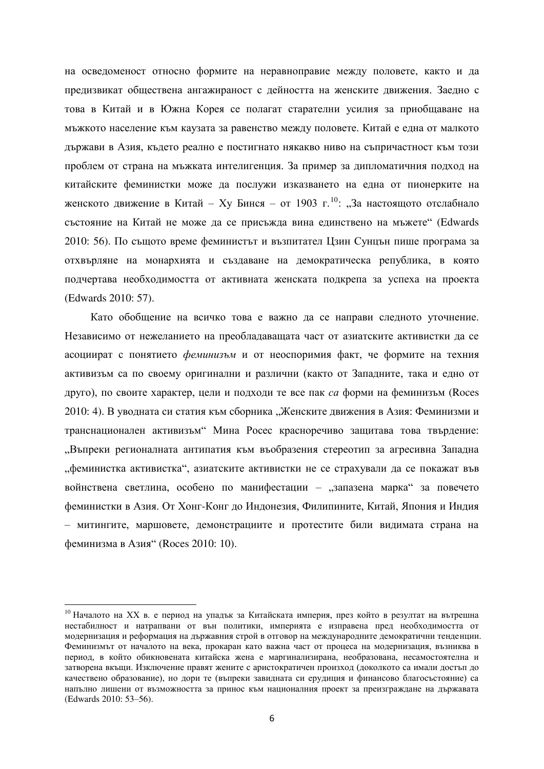на осведоменост относно формите на неравноправие между половете, както и да предизвикат обществена ангажираност с дейността на женските движения. Заедно с това в Китай и в Южна Корея се полагат старателни усилия за приобщаване на мъжкото население към каузата за равенство между половете. Китай е една от малкото държави в Азия, където реално е постигнато някакво ниво на съпричастност към този проблем от страна на мъжката интелигенция. За пример за дипломатичния подход на китайските феминистки може да послужи изказването на една от пионерките на женското движение в Китай – Ху Бинся – от 1903 г.<sup>10</sup>: "За настоящото отслабнало състояние на Китай не може да се присъжда вина единствено на мъжете" (Edwards 2010: 56). По същото време феминистът и възпитател Цзин Сунцън пише програма за отхвърляне на монархията и създаване на демократическа република, в която подчертава необходимостта от активната женската подкрепа за успеха на проекта (Edwards 2010: 57).

Като обобщение на всичко това е важно да се направи следното уточнение. Независимо от нежеланието на преобладаващата част от азиатските активистки да се асоциират с понятието *феминизъм* и от неоспоримия факт, че формите на техния активизъм са по своему оригинални и различни (както от Западните, така и едно от друго), по своите характер, цели и подходи те все пак *са* форми на феминизъм (Roces 2010: 4). В уводната си статия към сборника "Женските движения в Азия: Феминизми и транснационален активизъм" Мина Росес красноречиво защитава това твърдение: "Въпреки регионалната антипатия към въобразения стереотип за агресивна Западна "феминистка активистка", азиатските активистки не се страхували да се покажат във войнствена светлина, особено по манифестации – "запазена марка" за повечето феминистки в Азия. От Хонг-Конг до Индонезия, Филипините, Китай, Япония и Индия – митингите, маршовете, демонстрациите и протестите били видимата страна на феминизма в Азия" (Roces 2010: 10).

 $^{10}$  Началото на XX в. е период на упадък за Китайската империя, през който в резултат на вътрешна нестабилност и натрапвани от вън политики, империята е изправена прел необхолимостта от молернизация и реформация на лържавния строй в отговор на межлунаролните лемократични тенленции. Феминизмът от началото на века, прокаран като важна част от процеса на модернизация, възниква в период, в който обикновената китайска жена е маргинализирана, необразована, несамостоятелна и затворена вкъщи. Изключение правят жените с аристократичен произход (доколкото са имали достъп до качествено образование), но дори те (въпреки завидната си ерудиция и финансово благосъстояние) са напълно лишени от възможността за принос към националния проект за преизграждане на държавата (Edwards 2010: 53–56).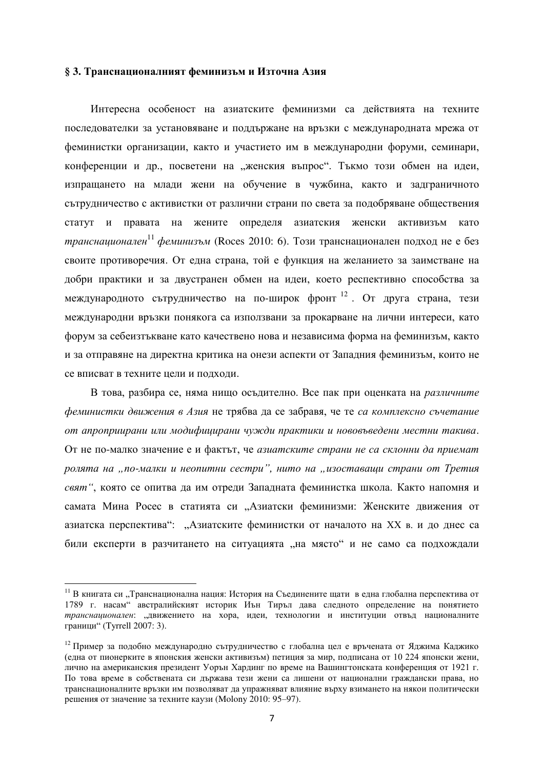#### § 3. Транснационалният феминизъм и Източна Азия

Интересна особеност на азиатските феминизми са лействията на техните последователки за установяване и поддържане на връзки с международната мрежа от феминистки организации, както и участието им в международни форуми, семинари, конференции и др., посветени на "женския въпрос". Тъкмо този обмен на идеи, изпращането на млади жени на обучение в чужбина, както и задграничното сътрудничество с активистки от различни страни по света за подобряване обществения статут и правата на жените определя азиатския женски активизъм като *транснационален*<sup>11</sup> феминизъм (Roces 2010: 6). Този транснационален подход не е без своите противоречия. От една страна, той е функция на желанието за заимстване на добри практики и за двустранен обмен на идеи, което респективно способства за международното сътрудничество на по-широк фронт  $^{12}$ . От друга страна, тези международни връзки понякога са използвани за прокарване на лични интереси, като форум за себеизтъкване като качествено нова и независима форма на феминизъм, както и за отправяне на директна критика на онези аспекти от Западния феминизъм, които не се вписват в техните цели и подходи.

В това, разбира се, няма нищо осъдително. Все пак при оценката на *различните* феминистки движения в Азия не трябва да се забравя, че те са комплексно съчетание  $\delta$  апроприирани или модифицирани чужди практики и нововъведени местни такива. От не по-малко значение е и фактът, че азиатските страни не са склонни да приемат  $p$ олята на "по-малки и неопитни сестри", нито на "изоставаши страни от Третия *свят*", която се опитва да им отреди Западната феминистка школа. Както напомня и самата Мина Росес в статията си "Азиатски феминизми: Женските движения от азиатска перспектива": "Азиатските феминистки от началото на XX в. и до днес са били експерти в разчитането на ситуацията "на място" и не само са подхождали

 $^{11}$  В книгата си "Транснационална нация: История на Съединените щати в една глобална перспектива от 1789 г. насам" австралийският историк Иън Тиръл дава следното определение на понятието транснационален: "движението на хора, идеи, технологии и институции отвъд националните граници" (Tyrrell 2007: 3).

<sup>&</sup>lt;sup>12</sup> Пример за подобно международно сътрудничество с глобална цел е връчената от Яджима Каджико (една от пионерките в японския женски активизъм) петиция за мир, подписана от 10 224 японски жени, лично на американския президент Уорън Хардинг по време на Вашингтонската конференция от 1921 г. По това време в собствената си държава тези жени са лишени от национални граждански права, но транснационалните връзки им позволяват да упражняват влияние върху взимането на някои политически решения от значение за техните каузи (Molony 2010: 95–97).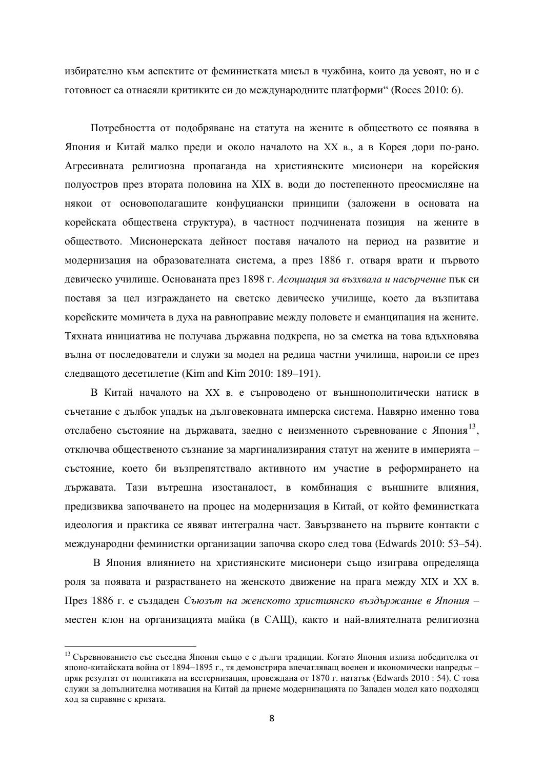избирателно към аспектите от феминистката мисъл в чужбина, които да усвоят, но и с готовност са отнасяли критиките си до международните платформи" (Roces 2010: 6).

Потребността от подобряване на статута на жените в обществото се появява в Япония и Китай малко преди и около началото на XX в., а в Корея дори по-рано. Агресивната религиозна пропаганда на християнските мисионери на корейския полуостров през втората половина на XIX в. води до постепенното преосмисляне на някои от основополагащите конфуциански принципи (заложени в основата на корейската обществена структура), в частност подчинената позиция на жените в обществото. Мисионерската дейност поставя началото на период на развитие и модернизация на образователната система, а през 1886 г. отваря врати и първото девическо училище. Основаната през 1898 г. Асоциация за възхвала и насърчение пък си поставя за цел изграждането на светско девическо училище, което да възпитава корейските момичета в духа на равноправие между половете и еманципация на жените. Тяхната инициатива не получава държавна подкрепа, но за сметка на това вдъхновява вълна от последователи и служи за модел на редица частни училища, нароили се през следващото десетилетие (Kim and Kim 2010: 189–191).

В Китай началото на XX в. е съпроводено от външнополитически натиск в съчетание с дълбок упадък на дълговековната имперска система. Навярно именно това отслабено състояние на държавата, заедно с неизменното съревнование с Япония<sup>13</sup>, отключва общественото съзнание за маргинализирания статут на жените в империята – състояние, което би възпрепятствало активното им участие в реформирането на държавата. Тази вътрешна изостаналост, в комбинация с външните влияния, предизвиква започването на процес на модернизация в Китай, от който феминистката идеология и практика се явяват интегрална част. Завързването на първите контакти с международни феминистки организации започва скоро след това (Edwards 2010: 53–54).

В Япония влиянието на християнските мисионери също изиграва определяща роля за появата и разрастването на женското движение на прага между XIX и XX в. През 1886 г. е създаден Съюзът на женското християнско въздържание в Япония – местен клон на организацията майка (в САЩ), както и най-влиятелната религиозна

<sup>&</sup>lt;sup>13</sup> Съревнованието със съседна Япония също е с дълги традиции. Когато Япония излиза победителка от японо-китайската война от 1894–1895 г., тя демонстрира впечатляващ военен и икономически напредък – пряк резултат от политиката на вестернизация, провеждана от 1870 г. нататък (Edwards 2010 : 54). С това служи за допълнителна мотивация на Китай да приеме модернизацията по Западен модел като подходящ ход за справяне с кризата.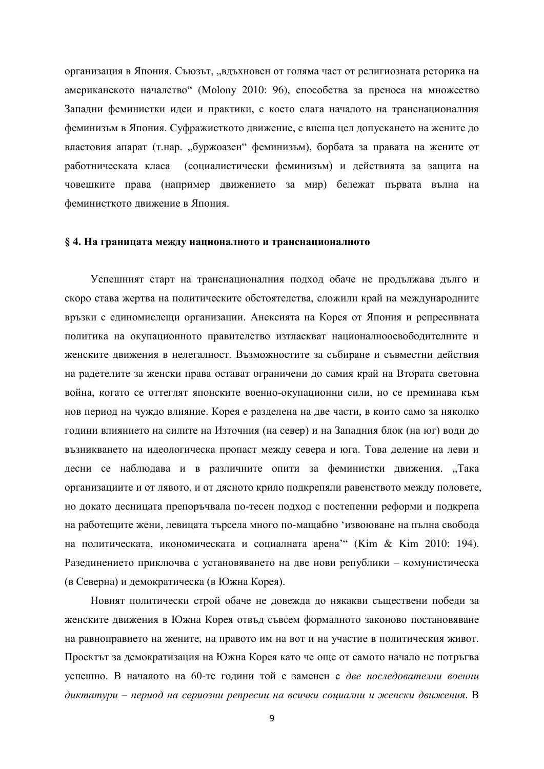организация в Япония. Съюзът, "вдъхновен от голяма част от религиозната реторика на американското началство" (Molony 2010: 96), способства за преноса на множество Западни феминистки идеи и практики, с което слага началото на транснационалния феминизъм в Япония. Суфражисткото движение, с висша цел допускането на жените до властовия апарат (т.нар. "буржоазен" феминизъм), борбата за правата на жените от работническата класа (социалистически феминизъм) и действията за защита на човешките права (например движението за мир) бележат първата вълна на феминисткото движение в Япония.

## § 4. На границата между националното и транснационалното

Успешният старт на транснационалния подход обаче не продължава дълго и скоро става жертва на политическите обстоятелства, сложили край на международните връзки с единомислещи организации. Анексията на Корея от Япония и репресивната политика на окупационното правителство изтласкват националноосвободителните и женските движения в нелегалност. Възможностите за събиране и съвместни действия на радетелите за женски права остават ограничени до самия край на Втората световна война, когато се оттеглят японските военно-окупационни сили, но се преминава към нов период на чуждо влияние. Корея е разделена на две части, в които само за няколко години влиянието на силите на Източния (на север) и на Западния блок (на юг) води до възникването на идеологическа пропаст между севера и юга. Това деление на леви и десни се наблюдава и в различните опити за феминистки движения. "Така организациите и от лявото, и от дясното крило подкрепяли равенството между половете, но докато десницата препоръчвала по-тесен подход с постепенни реформи и подкрепа на работещите жени, левицата търсела много по-мащабно 'извоюване на пълна свобода на политическата, икономическата и социалната арена<sup>ж</sup> (Kim & Kim 2010: 194). Разединението приключва с установяването на две нови републики – комунистическа (в Северна) и демократическа (в Южна Корея).

Новият политически строй обаче не довежда до някакви съществени победи за женските движения в Южна Корея отвъд съвсем формалното законово постановяване на равноправието на жените, на правото им на вот и на участие в политическия живот. Проектът за демократизация на Южна Корея като че още от самото начало не потръгва успешно. В началото на 60-те години той е заменен с две последователни военни диктатури – период на сериозни репресии на всички социални и женски движения. В

9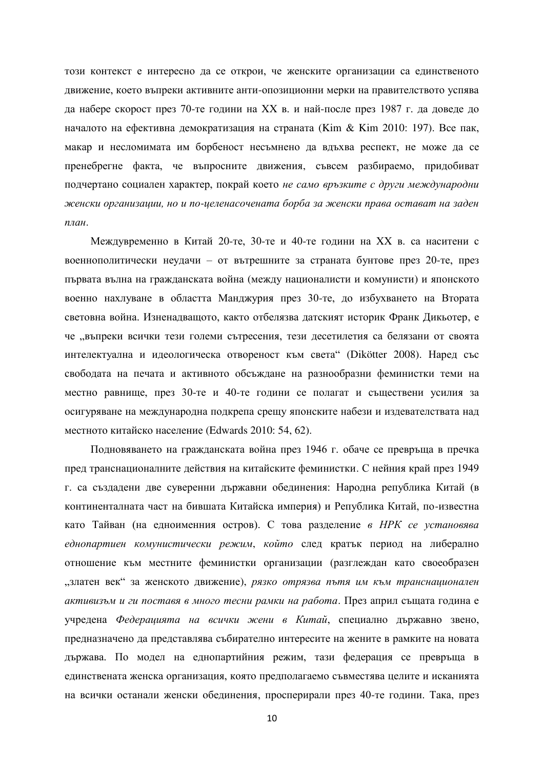този контекст е интересно да се открои, че женските организации са единственото движение, което въпреки активните анти-опозиционни мерки на правителството успява да набере скорост през 70-те години на XX в. и най-после през 1987 г. да доведе до началото на ефективна демократизация на страната (Kim & Kim 2010: 197). Все пак, макар и несломимата им борбеност несъмнено да вдъхва респект, не може да се пренебрегне факта, че въпросните движения, съвсем разбираемо, придобиват подчертано социален характер, покрай което не само връзките с други международни  $x$ еенски организации, но и по-целенасочената борба за женски права остават на заден *nлан.* 

Междувременно в Китай 20-те, 30-те и 40-те години на XX в. са наситени с военнополитически неудачи – от вътрешните за страната бунтове през 20-те, през първата вълна на гражданската война (между националисти и комунисти) и японското военно нахлуване в областта Манджурия през 30-те, до избухването на Втората световна война. Изненадващото, както отбелязва датският историк Франк Дикьотер, е че "въпреки всички тези големи сътресения, тези десетилетия са белязани от своята интелектуална и идеологическа отвореност към света" (Dikötter 2008). Наред със свободата на печата и активното обсъждане на разнообразни феминистки теми на местно равнище, през 30-те и 40-те години се полагат и съществени усилия за осигуряване на международна подкрепа срещу японските набези и издевателствата над местното китайско население (Edwards 2010: 54, 62).

Подновяването на гражданската война през 1946 г. обаче се превръща в пречка пред транснационалните действия на китайските феминистки. С нейния край през 1949 г. са създадени две суверенни държавни обединения: Народна република Китай (в континенталната част на бившата Китайска империя) и Република Китай, по-известна като Тайван (на едноименния остров). С това разделение *в НРК се установява* еднопартиен комунистически режим, който след кратък период на либерално отношение към местните феминистки организации (разглеждан като своеобразен "златен век" за женското движение), *рязко отрязва пътя им към транснационален* активизъм и ги поставя в много тесни рамки на работа. През април същата година е учредена Федерацията на всички жени в Китай, специално държавно звено, предназначено да представлява събирателно интересите на жените в рамките на новата държава. По модел на еднопартийния режим, тази федерация се превръща в единствената женска организация, която предполагаемо съвместява целите и исканията на всички останали женски обединения, просперирали през 40-те години. Така, през

10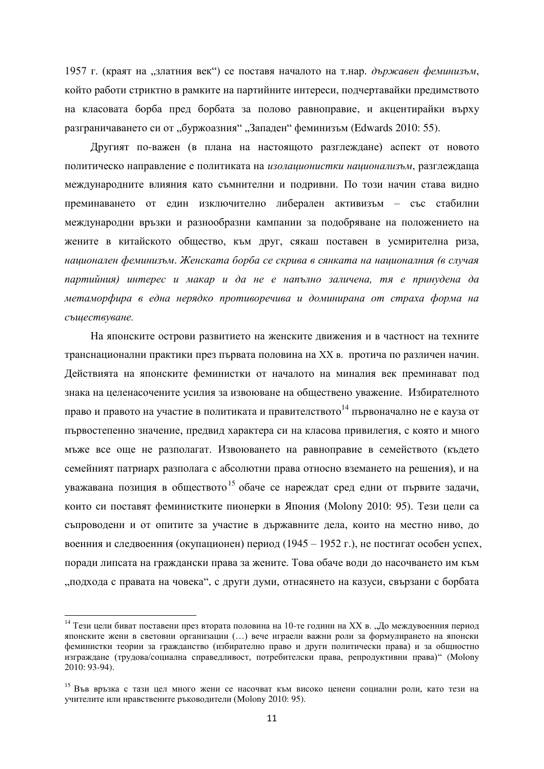1957 г. (краят на "златния век") се поставя началото на т.нар. държавен феминизъм, който работи стриктно в рамките на партийните интереси, подчертавайки предимството на класовата борба пред борбата за полово равноправие, и акцентирайки върху разграничаването си от "буржоазния" "Западен" феминизъм (Edwards 2010: 55).

Другият по-важен (в плана на настоящото разглеждане) аспект от новото политическо направление е политиката на изолашионистки нашионализъм, разглеждаща международните влияния като съмнителни и подривни. По този начин става видно преминаването от един изключително либерален активизъм – със стабилни международни връзки и разнообразни кампании за подобряване на положението на жените в китайското общество, към друг, сякаш поставен в усмирителна риза, национален феминизъм. Женската борба се скрива в сянката на националния (в случая партийния) интерес и макар и да не е напълно заличена, тя е принудена да метаморфира в една нерядко противоречива и доминирана от страха форма на  $cu$ *съществуване*.

На японските острови развитието на женските движения и в частност на техните транснационални практики през първата половина на XX в. протича по различен начин. Действията на японските феминистки от началото на миналия век преминават под знака на целенасочените усилия за извоюване на обществено уважение. Избирателното право и правото на участие в политиката и правителството<sup>14</sup> първоначално не е кауза от първостепенно значение, предвид характера си на класова привилегия, с която и много мъже все още не разполагат. Извоюването на равноправие в семейството (където семейният патриарх разполага с абсолютни права относно вземането на решения), и на уважавана позиция в обществото<sup>15</sup> обаче се нареждат сред едни от първите задачи, които си поставят феминистките пионерки в Япония (Molony 2010: 95). Тези цели са съпроводени и от опитите за участие в държавните дела, които на местно ниво, до военния и следвоенния (окупационен) период (1945 – 1952 г.), не постигат особен успех, поради липсата на граждански права за жените. Това обаче води до насочването им към "подхода с правата на човека", с други думи, отнасянето на казуси, свързани с борбата

 $14$  Тези цели биват поставени през втората половина на 10-те години на XX в. "До междувоенния период японските жени в световни организации (...) вече играели важни роли за формулирането на японски феминистки теории за гражданство (избирателно право и други политически права) и за общностно изграждане (трудова/социална справедливост, потребителски права, репродуктивни права)" (Molony  $2010: 93-94$ ).

<sup>&</sup>lt;sup>15</sup> Във връзка с тази цел много жени се насочват към високо ценени социални роли, като тези на vчителите или ноавствените ръководители (Molony 2010: 95).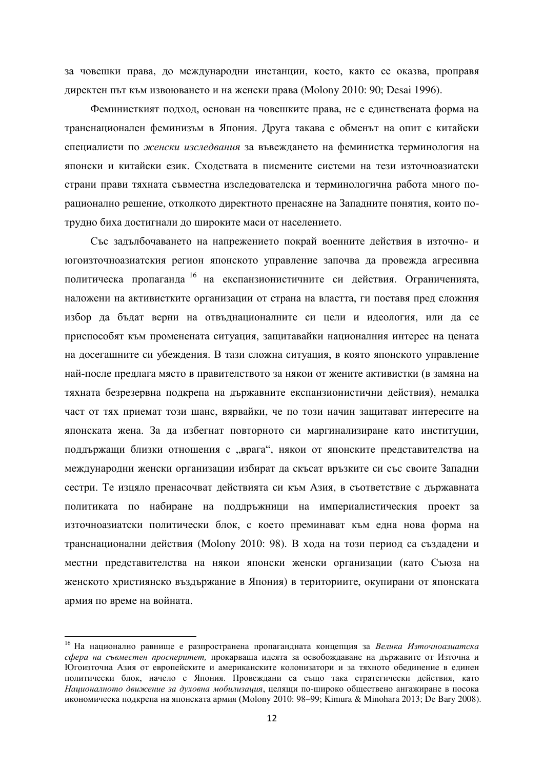за човешки права, до международни инстанции, което, както се оказва, проправя директен път към извоюването и на женски права (Molony 2010: 90; Desai 1996).

Феминисткият подход, основан на човешките права, не е единствената форма на транснационален феминизъм в Япония. Друга такава е обменът на опит с китайски специалисти по женски изследвания за въвеждането на феминистка терминология на японски и китайски език. Сходствата в писмените системи на тези източноазиатски страни прави тяхната съвместна изследователска и терминологична работа много порационално решение, отколкото директното пренасяне на Западните понятия, които потрудно биха достигнали до широките маси от населението.

Със задълбочаването на напрежението покрай военните действия в източно- и югоизточноазиатския регион японското управление започва да провежда агресивна политическа пропаганда <sup>16</sup> на експанзионистичните си действия. Ограниченията, наложени на активистките организации от страна на властта, ги поставя пред сложния избор да бъдат верни на отвъднационалните си цели и идеология, или да се приспособят към променената ситуация, защитавайки националния интерес на цената на досегашните си убеждения. В тази сложна ситуация, в която японското управление най-после предлага място в правителството за някои от жените активистки (в замяна на тяхната безрезервна подкрепа на държавните експанзионистични действия), немалка част от тях приемат този шанс, вярвайки, че по този начин защитават интересите на японската жена. За да избегнат повторното си маргинализиране като институции, поддържащи близки отношения с "врага", някои от японските представителства на международни женски организации избират да скъсат връзките си със своите Западни сестри. Те изцяло пренасочват действията си към Азия, в съответствие с държавната политиката по набиране на поддръжници на империалистическия проект за източноазиатски политически блок, с което преминават към една нова форма на транснационални действия (Molony 2010: 98). В хода на този период са създадени и местни представителства на някои японски женски организации (като Съюза на женското християнско въздържание в Япония) в териториите, окупирани от японската армия по време на войната.

<sup>&</sup>lt;sup>16</sup> На национално равнище е разпространена пропагандната концепция за Велика Източноазиатска сфера на съвместен просперитет, прокарваща идеята за освобождаване на държавите от Източна и Югоизточна Азия от европейските и американските колонизатори и за тяхното обединение в единен политически блок, начело с Япония. Провеждани са също така стратегически действия, като Националното движение за духовна мобилизация, целящи по-широко обществено ангажиране в посока икономическа подкрепа на японската армия (Molony 2010: 98–99; Kimura & Minohara 2013; De Bary 2008).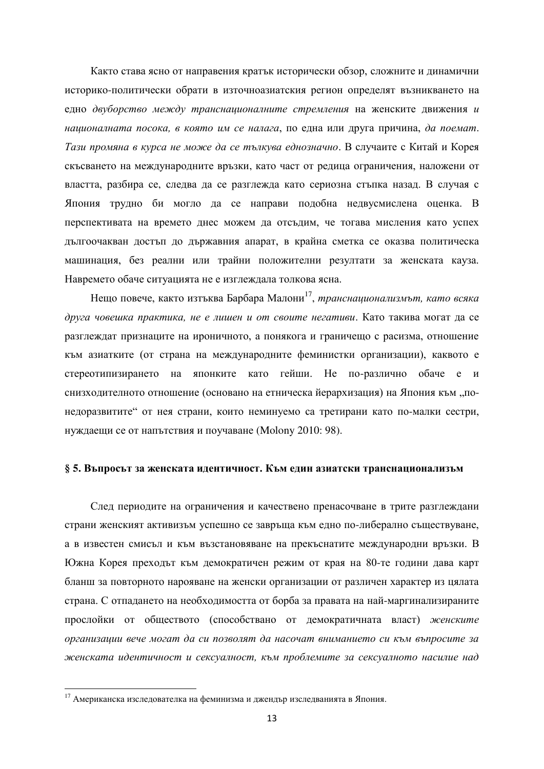Както става ясно от направения кратък исторически обзор, сложните и динамични историко-политически обрати в източноазиатския регион определят възникването на едно двуборство между транснационалните стремления на женските движения и националната посока, в която им се налага, по една или друга причина, да поемат. Тази промяна в курса не може да се тълкува еднозначно. В случаите с Китай и Корея скъсването на международните връзки, като част от редица ограничения, наложени от властта, разбира се, следва да се разглежда като сериозна стъпка назад. В случая с Япония трудно би могло да се направи подобна недвусмислена оценка. В перспективата на времето днес можем да отсъдим, че тогава мисления като успех дългоочакван достъп до държавния апарат, в крайна сметка се оказва политическа машинация, без реални или трайни положителни резултати за женската кауза. Навремето обаче ситуацията не е изглеждала толкова ясна.

Нещо повече, както изтъква Барбара Малони<sup>17</sup>, *транснационализмът, като всяка* друга човешка практика, не е лишен и от своите негативи. Като такива могат да се разглеждат признаците на ироничното, а понякога и граничещо с расизма, отношение към азиатките (от страна на международните феминистки организации), каквото е стереотипизирането на японките като гейши. Не по-различно обаче е и снизходителното отношение (основано на етническа йерархизация) на Япония към "понедоразвитите" от нея страни, които неминуемо са третирани като по-малки сестри, нуждаещи се от напътствия и поучаване (Molony 2010: 98).

#### § 5. Въпросът за женската идентичност. Към един азиатски транснационализъм

След периодите на ограничения и качествено пренасочване в трите разглеждани страни женският активизъм успешно се завръща към едно по-либерално съществуване. а в известен смисъл и към възстановяване на прекъснатите международни връзки. В Южна Корея преходът към демократичен режим от края на 80-те години дава карт бланш за повторното нарояване на женски организации от различен характер из цялата страна. С отпадането на необходимостта от борба за правата на най-маргинализираните прослойки от обществото (способствано от демократичната власт) женските **дрганизации вече могат да си позволят да насочат вниманието си към въпросите за** женската идентичност и сексуалност, към проблемите за сексуалното насилие над

 $17$  Американска изследователка на феминизма и джендър изследванията в Япония.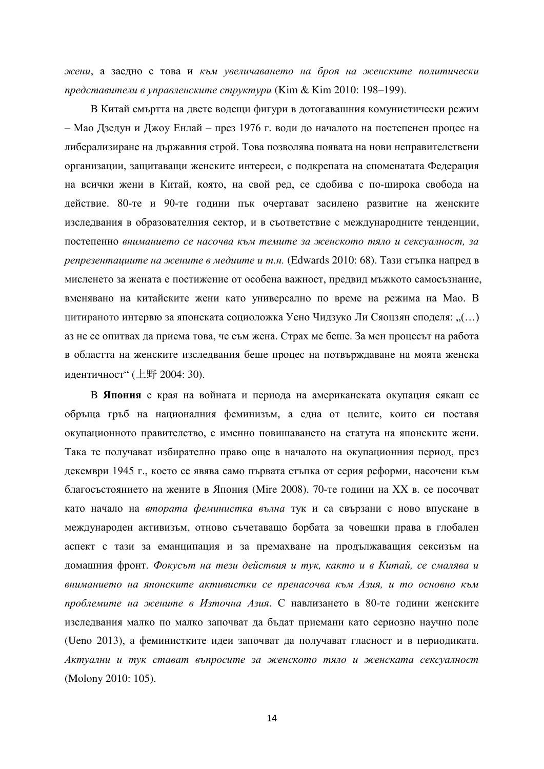жени, а заедно с това и към увеличаването на броя на женските политически *представители в управленските структури* (Kim & Kim 2010: 198–199).

В Китай смъртта на двете водещи фигури в дотогавашния комунистически режим – Мао Дзедун и Джоу Енлай – през 1976 г. води до началото на постепенен процес на либерализиране на държавния строй. Това позволява появата на нови неправителствени организации, защитаващи женските интереси, с подкрепата на споменатата Федерация на всички жени в Китай, която, на свой ред, се сдобива с по-широка свобода на действие. 80-те и 90-те години пък очертават засилено развитие на женските изследвания в образователния сектор, и в съответствие с международните тенденции, постепенно вниманието се насочва към темите за женското тяло и сексуалност, за penpезентациите на жените в медиите и т.н. (Edwards 2010: 68). Тази стъпка напред в мисленето за жената е постижение от особена важност, предвид мъжкото самосъзнание, вменявано на китайските жени като универсално по време на режима на Мао. В щитираното интервю за японската социоложка Уено Чидзуко Ли Сяоцзян споделя: "(…) аз не се опитвах да приема това, че съм жена. Страх ме беше. За мен процесът на работа в областта на женските изследвания беше процес на потвърждаване на моята женска идентичност" (上野 2004: 30).

В Япония с края на войната и периода на американската окупация сякаш се обръща гръб на националния феминизъм, а една от целите, които си поставя окупационното правителство, е именно повишаването на статута на японските жени. Така те получават избирателно право още в началото на окупационния период, през декември 1945 г., което се явява само първата стъпка от серия реформи, насочени към благосъстоянието на жените в Япония (Mire 2008). 70-те години на XX в. се посочват като начало на втората феминистка вълна тук и са свързани с ново впускане в международен активизъм, отново съчетаващо борбата за човешки права в глобален аспект с тази за еманципация и за премахване на продължаващия сексизъм на домашния фронт. Фокусът на тези действия и тук, както и в Китай, се смалява и вниманието на японските активистки се пренасочва към Азия, и то основно към проблемите на жените в Източна Азия. С навлизането в 80-те години женските изследвания малко по малко започват да бъдат приемани като сериозно научно поле (Ueno 2013), а феминистките идеи започват да получават гласност и в периодиката. Актуални и тук стават въпросите за женското тяло и женската сексуалност (Molony 2010: 105).

14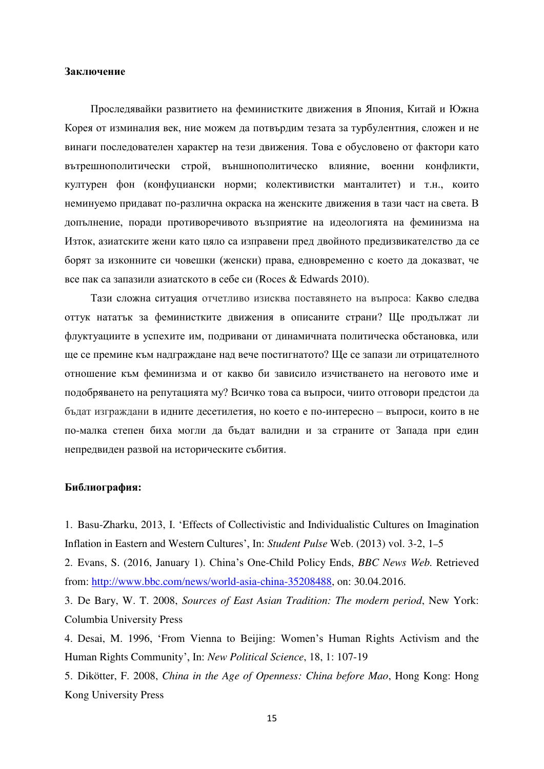## Заключение

Проследявайки развитието на феминистките движения в Япония. Китай и Южна Корея от изминалия век, ние можем да потвърдим тезата за турбулентния, сложен и не винаги последователен характер на тези движения. Това е обусловено от фактори като вътрешнополитически строй, външнополитическо влияние, военни конфликти, културен фон (конфуциански норми; колективистки манталитет) и т.н., които неминуемо придават по-различна окраска на женските движения в тази част на света. В допълнение, поради противоречивото възприятие на идеологията на феминизма на Изток, азиатските жени като цяло са изправени пред двойното предизвикателство да се борят за изконните си човешки (женски) права, едновременно с което да доказват, че все пак са запазили азиатското в себе си (Roces & Edwards 2010).

Тази сложна ситуация отчетливо изисква поставянето на въпроса: Какво слелва оттук нататък за феминистките движения в описаните страни? Ще продължат ли флуктуациите в успехите им, подривани от динамичната политическа обстановка, или ще се премине към надграждане над вече постигнатото? Ще се запази ли отрицателното отношение към феминизма и от какво би зависило изчистването на неговото име и подобряването на репутацията му? Всичко това са въпроси, чиито отговори предстои да бъдат изграждани в идните десетилетия, но което е по-интересно – въпроси, които в не по-малка степен биха могли да бъдат валидни и за страните от Запада при един непредвиден развой на историческите събития.

#### **Библиография:**

1. Basu-Zharku, 2013, I. 'Effects of Collectivistic and Individualistic Cultures on Imagination Inflation in Eastern and Western Cultures', In: *Student Pulse* Web. (2013) vol. 3-2, 1-5

2. Evans, S. (2016, January 1). China's One-Child Policy Ends, *BBC News Web*. Retrieved from: [http://www.bbc.com/news/world-asia-china-35208488,](http://www.bbc.com/news/world-asia-china-35208488) on: 30.04.2016.

3. De Bary, W. T. 2008, *Sources of East Asian Tradition: The modern period*, New York: Columbia University Press

4. Desai, M. 1996, 'From Vienna to Beijing: Women's Human Rights Activism and the Human Rights Community', In: *New Political Science*, 18, 1: 107-19

5. Dikötter, F. 2008, *China in the Age of Openness: China before Mao*, Hong Kong: Hong Kong University Press